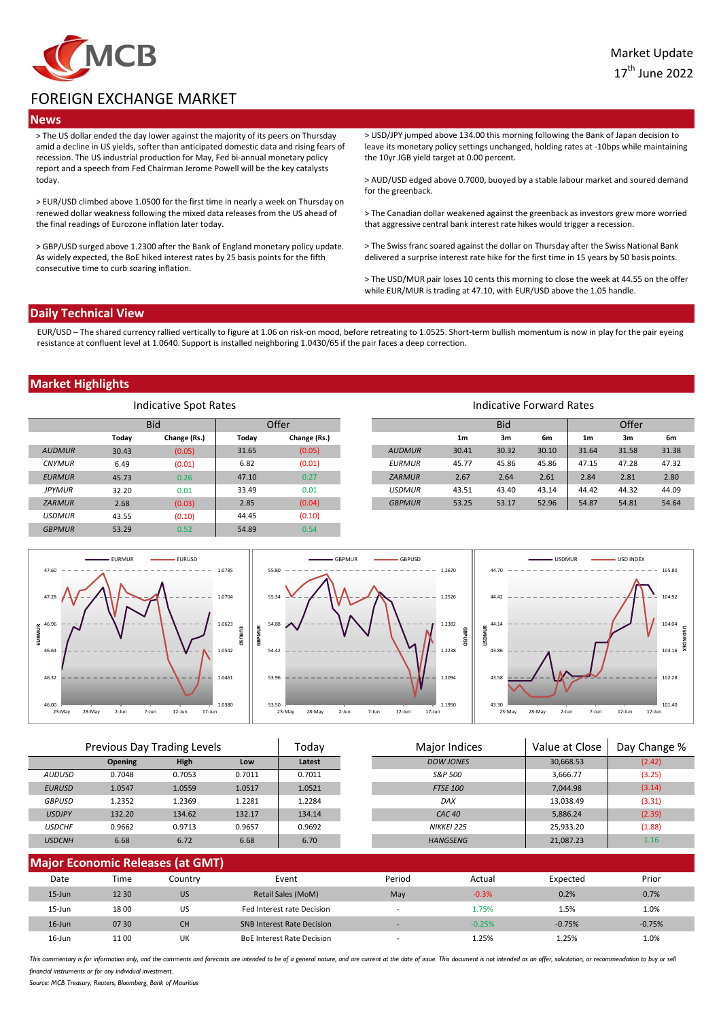

# FOREIGN EXCHANGE MARKET

### **News**

> The US dollar ended the day lower against the majority of its peers on Thursday amid a decline in US yields, softer than anticipated domestic data and rising fears of recession. The US industrial production for May, Fed bi-annual monetary policy report and a speech from Fed Chairman Jerome Powell will be the key catalysts today.

> EUR/USD climbed above 1.0500 for the first time in nearly a week on Thursday on renewed dollar weakness following the mixed data releases from the US ahead of the final readings of Eurozone inflation later today.

> GBP/USD surged above 1.2300 after the Bank of England monetary policy update. As widely expected, the BoE hiked interest rates by 25 basis points for the fifth consecutive time to curb soaring inflation.

> USD/JPY jumped above 134.00 this morning following the Bank of Japan decision to leave its monetary policy settings unchanged, holding rates at -10bps while maintaining the 10yr JGB yield target at 0.00 percent.

> AUD/USD edged above 0.7000, buoyed by a stable labour market and soured demand for the greenback.

> The Canadian dollar weakened against the greenback as investors grew more worried that aggressive central bank interest rate hikes would trigger a recession.

> The Swiss franc soared against the dollar on Thursday after the Swiss National Bank delivered a surprise interest rate hike for the first time in 15 years by 50 basis points.

> The USD/MUR pair loses 10 cents this morning to close the week at 44.55 on the offer while EUR/MUR is trading at 47.10, with EUR/USD above the 1.05 handle.

#### **Daily Technical View**

EUR/USD – The shared currency rallied vertically to figure at 1.06 on risk-on mood, before retreating to 1.0525. Short-term bullish momentum is now in play for the pair eyeing resistance at confluent level at 1.0640. Support is installed neighboring 1.0430/65 if the pair faces a deep correction.

## **Market Highlights**

| Indicative Spot Rates |            |              |       |              |               |                | Indicative Forward Rates |       |                |       |       |
|-----------------------|------------|--------------|-------|--------------|---------------|----------------|--------------------------|-------|----------------|-------|-------|
|                       | <b>Bid</b> |              | Offer |              |               | <b>Bid</b>     |                          |       | Offer          |       |       |
|                       | Today      | Change (Rs.) | Today | Change (Rs.) |               | 1 <sub>m</sub> | 3m                       | 6m    | 1 <sub>m</sub> | 3m    | 6m    |
| <b>AUDMUR</b>         | 30.43      | (0.05)       | 31.65 | (0.05)       | <b>AUDMUR</b> | 30.41          | 30.32                    | 30.10 | 31.64          | 31.58 | 31.38 |
| <b>CNYMUR</b>         | 6.49       | (0.01)       | 6.82  | (0.01)       | <b>EURMUR</b> | 45.77          | 45.86                    | 45.86 | 47.15          | 47.28 | 47.32 |
| <b>EURMUR</b>         | 45.73      | 0.26         | 47.10 | 0.27         | <b>ZARMUR</b> | 2.67           | 2.64                     | 2.61  | 2.84           | 2.81  | 2.80  |
| <b>JPYMUR</b>         | 32.20      | 0.01         | 33.49 | 0.01         | <b>USDMUR</b> | 43.51          | 43.40                    | 43.14 | 44.42          | 44.32 | 44.09 |
| <b>ZARMUR</b>         | 2.68       | (0.03)       | 2.85  | (0.04)       | <b>GBPMUR</b> | 53.25          | 53.17                    | 52.96 | 54.87          | 54.81 | 54.64 |
| <b>USDMUR</b>         | 43.55      | (0.10)       | 44.45 | (0.10)       |               |                |                          |       |                |       |       |
| <b>GBPMUR</b>         | 53.29      | 0.52         | 54.89 | 0.54         |               |                |                          |       |                |       |       |



|               | Previous Day Trading Levels |             | Todav  | Major Indices | Value at Close    | Day Change % |        |
|---------------|-----------------------------|-------------|--------|---------------|-------------------|--------------|--------|
|               | <b>Opening</b>              | <b>High</b> | Low    | Latest        | <b>DOW JONES</b>  | 30,668.53    | (2.42) |
| AUDUSD        | 0.7048                      | 0.7053      | 0.7011 | 0.7011        | S&P 500           | 3,666.77     | (3.25) |
| <b>EURUSD</b> | 1.0547                      | 1.0559      | 1.0517 | 1.0521        | <b>FTSE 100</b>   | 7.044.98     | (3.14) |
| <b>GBPUSD</b> | 1.2352                      | 1.2369      | 1.2281 | 1.2284        | <b>DAX</b>        | 13,038.49    | (3.31) |
| <b>USDJPY</b> | 132.20                      | 134.62      | 132.17 | 134.14        | CAC <sub>40</sub> | 5,886.24     | (2.39) |
| <b>USDCHF</b> | 0.9662                      | 0.9713      | 0.9657 | 0.9692        | NIKKEI 225        | 25,933.20    | (1.88) |
| <b>USDCNH</b> | 6.68                        | 6.72        | 6.68   | 6.70          | <b>HANGSENG</b>   | 21,087.23    | 1.16   |

| <b>Major Economic Releases (at GMT)</b> |       |           |                                   |                          |          |          |          |  |  |
|-----------------------------------------|-------|-----------|-----------------------------------|--------------------------|----------|----------|----------|--|--|
| Date                                    | Time  | Countrv   | Event                             | Period                   | Actual   | Expected | Prior    |  |  |
| $15 - Jun$                              | 12 30 | <b>US</b> | Retail Sales (MoM)                | May                      | $-0.3%$  | 0.2%     | 0.7%     |  |  |
| $15 - Jun$                              | 1800  | US        | Fed Interest rate Decision        | $\overline{\phantom{0}}$ | 1.75%    | 1.5%     | 1.0%     |  |  |
| $16$ -Jun                               | 07 30 | <b>CH</b> | <b>SNB Interest Rate Decision</b> | $\sim$                   | $-0.25%$ | $-0.75%$ | $-0.75%$ |  |  |
| $16$ -Jun                               | 11 00 | UK        | <b>BoE Interest Rate Decision</b> | $\overline{\phantom{a}}$ | 1.25%    | 1.25%    | 1.0%     |  |  |

This commentary is for information only, and the comments and forecasts are intended to be of a general nature, and are current at the date of issue. This document is not intended as an offer, solicitation, or recommendati financial instruments or for any individual investment

*Source: MCB Treasury, Reuters, Bloomberg, Bank of Mauritius*